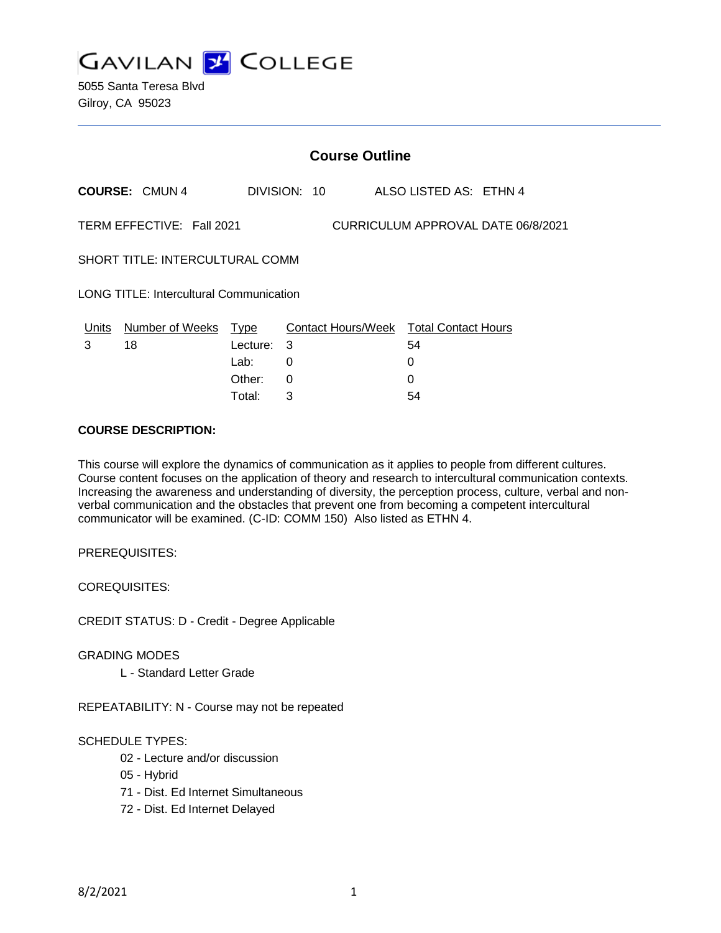

|                                                | <b>Course Outline</b>     |                                 |                                    |                    |  |                                       |  |
|------------------------------------------------|---------------------------|---------------------------------|------------------------------------|--------------------|--|---------------------------------------|--|
|                                                | <b>COURSE: CMUN4</b>      | DIVISION: 10                    |                                    |                    |  | ALSO LISTED AS: ETHN 4                |  |
|                                                | TERM EFFECTIVE: Fall 2021 |                                 | CURRICULUM APPROVAL DATE 06/8/2021 |                    |  |                                       |  |
| <b>SHORT TITLE: INTERCULTURAL COMM</b>         |                           |                                 |                                    |                    |  |                                       |  |
| <b>LONG TITLE: Intercultural Communication</b> |                           |                                 |                                    |                    |  |                                       |  |
| Units<br>3                                     | Number of Weeks<br>18     | <u>Type</u><br>Lecture:<br>Lab: | -3<br>0                            | Contact Hours/Week |  | <b>Total Contact Hours</b><br>54<br>0 |  |
|                                                |                           | Other:                          | 0                                  |                    |  | 0                                     |  |

Total: 3 54

## **COURSE DESCRIPTION:**

This course will explore the dynamics of communication as it applies to people from different cultures. Course content focuses on the application of theory and research to intercultural communication contexts. Increasing the awareness and understanding of diversity, the perception process, culture, verbal and nonverbal communication and the obstacles that prevent one from becoming a competent intercultural communicator will be examined. (C-ID: COMM 150) Also listed as ETHN 4.

PREREQUISITES:

COREQUISITES:

CREDIT STATUS: D - Credit - Degree Applicable

GRADING MODES

L - Standard Letter Grade

REPEATABILITY: N - Course may not be repeated

# SCHEDULE TYPES:

- 02 Lecture and/or discussion
- 05 Hybrid
- 71 Dist. Ed Internet Simultaneous
- 72 Dist. Ed Internet Delayed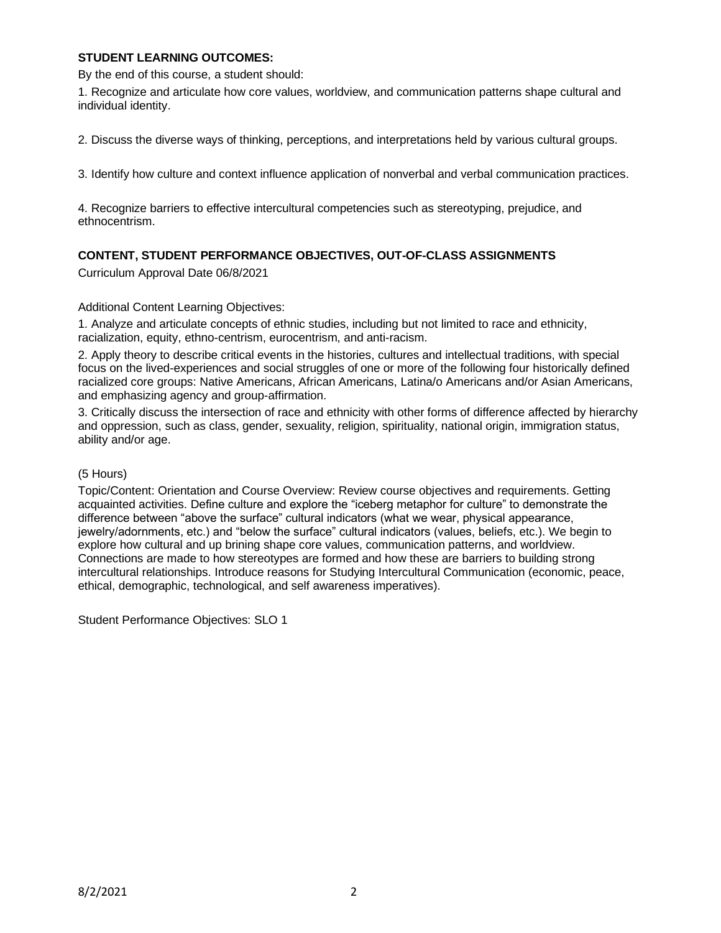## **STUDENT LEARNING OUTCOMES:**

By the end of this course, a student should:

1. Recognize and articulate how core values, worldview, and communication patterns shape cultural and individual identity.

2. Discuss the diverse ways of thinking, perceptions, and interpretations held by various cultural groups.

3. Identify how culture and context influence application of nonverbal and verbal communication practices.

4. Recognize barriers to effective intercultural competencies such as stereotyping, prejudice, and ethnocentrism.

# **CONTENT, STUDENT PERFORMANCE OBJECTIVES, OUT-OF-CLASS ASSIGNMENTS**

Curriculum Approval Date 06/8/2021

## Additional Content Learning Objectives:

1. Analyze and articulate concepts of ethnic studies, including but not limited to race and ethnicity, racialization, equity, ethno-centrism, eurocentrism, and anti-racism.

2. Apply theory to describe critical events in the histories, cultures and intellectual traditions, with special focus on the lived-experiences and social struggles of one or more of the following four historically defined racialized core groups: Native Americans, African Americans, Latina/o Americans and/or Asian Americans, and emphasizing agency and group-affirmation.

3. Critically discuss the intersection of race and ethnicity with other forms of difference affected by hierarchy and oppression, such as class, gender, sexuality, religion, spirituality, national origin, immigration status, ability and/or age.

#### (5 Hours)

Topic/Content: Orientation and Course Overview: Review course objectives and requirements. Getting acquainted activities. Define culture and explore the "iceberg metaphor for culture" to demonstrate the difference between "above the surface" cultural indicators (what we wear, physical appearance, jewelry/adornments, etc.) and "below the surface" cultural indicators (values, beliefs, etc.). We begin to explore how cultural and up brining shape core values, communication patterns, and worldview. Connections are made to how stereotypes are formed and how these are barriers to building strong intercultural relationships. Introduce reasons for Studying Intercultural Communication (economic, peace, ethical, demographic, technological, and self awareness imperatives).

Student Performance Objectives: SLO 1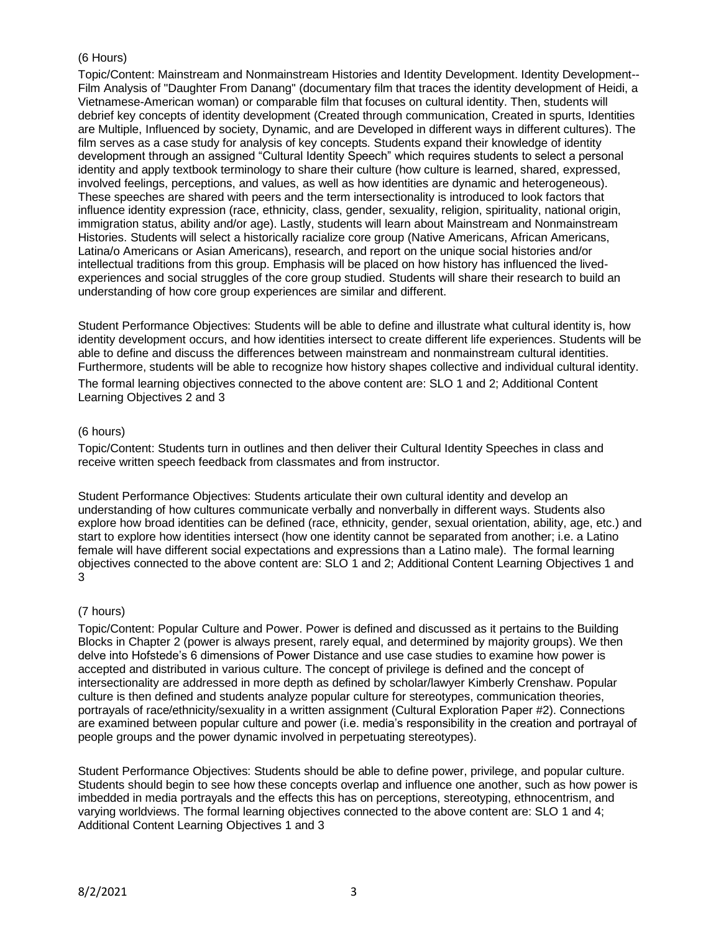# (6 Hours)

Topic/Content: Mainstream and Nonmainstream Histories and Identity Development. Identity Development-- Film Analysis of "Daughter From Danang" (documentary film that traces the identity development of Heidi, a Vietnamese-American woman) or comparable film that focuses on cultural identity. Then, students will debrief key concepts of identity development (Created through communication, Created in spurts, Identities are Multiple, Influenced by society, Dynamic, and are Developed in different ways in different cultures). The film serves as a case study for analysis of key concepts. Students expand their knowledge of identity development through an assigned "Cultural Identity Speech" which requires students to select a personal identity and apply textbook terminology to share their culture (how culture is learned, shared, expressed, involved feelings, perceptions, and values, as well as how identities are dynamic and heterogeneous). These speeches are shared with peers and the term intersectionality is introduced to look factors that influence identity expression (race, ethnicity, class, gender, sexuality, religion, spirituality, national origin, immigration status, ability and/or age). Lastly, students will learn about Mainstream and Nonmainstream Histories. Students will select a historically racialize core group (Native Americans, African Americans, Latina/o Americans or Asian Americans), research, and report on the unique social histories and/or intellectual traditions from this group. Emphasis will be placed on how history has influenced the livedexperiences and social struggles of the core group studied. Students will share their research to build an understanding of how core group experiences are similar and different.

Student Performance Objectives: Students will be able to define and illustrate what cultural identity is, how identity development occurs, and how identities intersect to create different life experiences. Students will be able to define and discuss the differences between mainstream and nonmainstream cultural identities. Furthermore, students will be able to recognize how history shapes collective and individual cultural identity. The formal learning objectives connected to the above content are: SLO 1 and 2; Additional Content Learning Objectives 2 and 3

## (6 hours)

Topic/Content: Students turn in outlines and then deliver their Cultural Identity Speeches in class and receive written speech feedback from classmates and from instructor.

Student Performance Objectives: Students articulate their own cultural identity and develop an understanding of how cultures communicate verbally and nonverbally in different ways. Students also explore how broad identities can be defined (race, ethnicity, gender, sexual orientation, ability, age, etc.) and start to explore how identities intersect (how one identity cannot be separated from another; i.e. a Latino female will have different social expectations and expressions than a Latino male). The formal learning objectives connected to the above content are: SLO 1 and 2; Additional Content Learning Objectives 1 and 3

## (7 hours)

Topic/Content: Popular Culture and Power. Power is defined and discussed as it pertains to the Building Blocks in Chapter 2 (power is always present, rarely equal, and determined by majority groups). We then delve into Hofstede's 6 dimensions of Power Distance and use case studies to examine how power is accepted and distributed in various culture. The concept of privilege is defined and the concept of intersectionality are addressed in more depth as defined by scholar/lawyer Kimberly Crenshaw. Popular culture is then defined and students analyze popular culture for stereotypes, communication theories, portrayals of race/ethnicity/sexuality in a written assignment (Cultural Exploration Paper #2). Connections are examined between popular culture and power (i.e. media's responsibility in the creation and portrayal of people groups and the power dynamic involved in perpetuating stereotypes).

Student Performance Objectives: Students should be able to define power, privilege, and popular culture. Students should begin to see how these concepts overlap and influence one another, such as how power is imbedded in media portrayals and the effects this has on perceptions, stereotyping, ethnocentrism, and varying worldviews. The formal learning objectives connected to the above content are: SLO 1 and 4; Additional Content Learning Objectives 1 and 3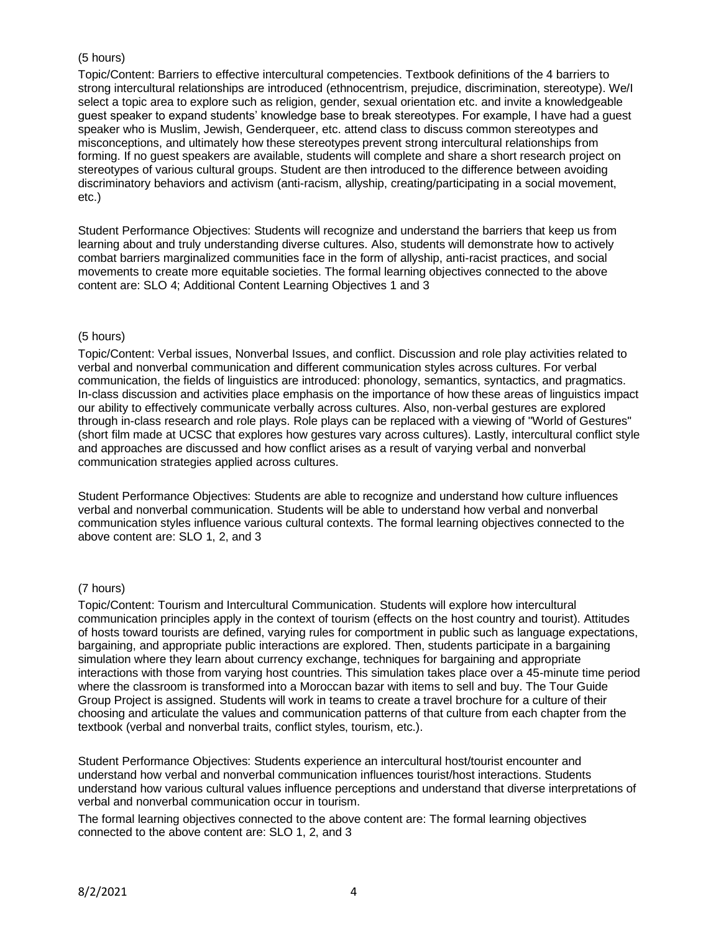# (5 hours)

Topic/Content: Barriers to effective intercultural competencies. Textbook definitions of the 4 barriers to strong intercultural relationships are introduced (ethnocentrism, prejudice, discrimination, stereotype). We/I select a topic area to explore such as religion, gender, sexual orientation etc. and invite a knowledgeable guest speaker to expand students' knowledge base to break stereotypes. For example, I have had a guest speaker who is Muslim, Jewish, Genderqueer, etc. attend class to discuss common stereotypes and misconceptions, and ultimately how these stereotypes prevent strong intercultural relationships from forming. If no guest speakers are available, students will complete and share a short research project on stereotypes of various cultural groups. Student are then introduced to the difference between avoiding discriminatory behaviors and activism (anti-racism, allyship, creating/participating in a social movement, etc.)

Student Performance Objectives: Students will recognize and understand the barriers that keep us from learning about and truly understanding diverse cultures. Also, students will demonstrate how to actively combat barriers marginalized communities face in the form of allyship, anti-racist practices, and social movements to create more equitable societies. The formal learning objectives connected to the above content are: SLO 4; Additional Content Learning Objectives 1 and 3

## (5 hours)

Topic/Content: Verbal issues, Nonverbal Issues, and conflict. Discussion and role play activities related to verbal and nonverbal communication and different communication styles across cultures. For verbal communication, the fields of linguistics are introduced: phonology, semantics, syntactics, and pragmatics. In-class discussion and activities place emphasis on the importance of how these areas of linguistics impact our ability to effectively communicate verbally across cultures. Also, non-verbal gestures are explored through in-class research and role plays. Role plays can be replaced with a viewing of "World of Gestures" (short film made at UCSC that explores how gestures vary across cultures). Lastly, intercultural conflict style and approaches are discussed and how conflict arises as a result of varying verbal and nonverbal communication strategies applied across cultures.

Student Performance Objectives: Students are able to recognize and understand how culture influences verbal and nonverbal communication. Students will be able to understand how verbal and nonverbal communication styles influence various cultural contexts. The formal learning objectives connected to the above content are: SLO 1, 2, and 3

## (7 hours)

Topic/Content: Tourism and Intercultural Communication. Students will explore how intercultural communication principles apply in the context of tourism (effects on the host country and tourist). Attitudes of hosts toward tourists are defined, varying rules for comportment in public such as language expectations, bargaining, and appropriate public interactions are explored. Then, students participate in a bargaining simulation where they learn about currency exchange, techniques for bargaining and appropriate interactions with those from varying host countries. This simulation takes place over a 45-minute time period where the classroom is transformed into a Moroccan bazar with items to sell and buy. The Tour Guide Group Project is assigned. Students will work in teams to create a travel brochure for a culture of their choosing and articulate the values and communication patterns of that culture from each chapter from the textbook (verbal and nonverbal traits, conflict styles, tourism, etc.).

Student Performance Objectives: Students experience an intercultural host/tourist encounter and understand how verbal and nonverbal communication influences tourist/host interactions. Students understand how various cultural values influence perceptions and understand that diverse interpretations of verbal and nonverbal communication occur in tourism.

The formal learning objectives connected to the above content are: The formal learning objectives connected to the above content are: SLO 1, 2, and 3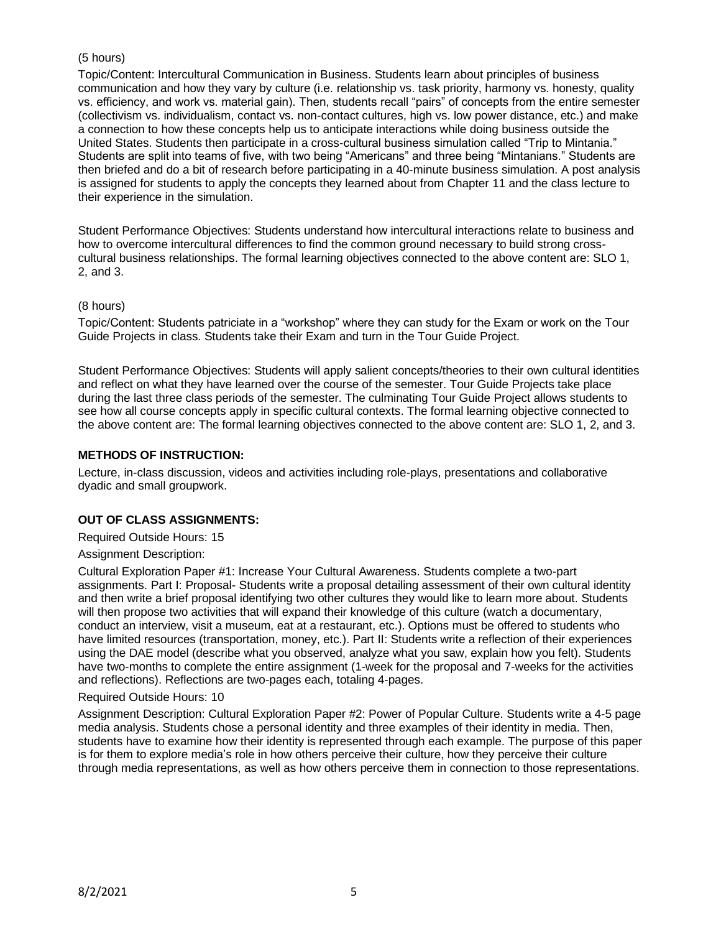# (5 hours)

Topic/Content: Intercultural Communication in Business. Students learn about principles of business communication and how they vary by culture (i.e. relationship vs. task priority, harmony vs. honesty, quality vs. efficiency, and work vs. material gain). Then, students recall "pairs" of concepts from the entire semester (collectivism vs. individualism, contact vs. non-contact cultures, high vs. low power distance, etc.) and make a connection to how these concepts help us to anticipate interactions while doing business outside the United States. Students then participate in a cross-cultural business simulation called "Trip to Mintania." Students are split into teams of five, with two being "Americans" and three being "Mintanians." Students are then briefed and do a bit of research before participating in a 40-minute business simulation. A post analysis is assigned for students to apply the concepts they learned about from Chapter 11 and the class lecture to their experience in the simulation.

Student Performance Objectives: Students understand how intercultural interactions relate to business and how to overcome intercultural differences to find the common ground necessary to build strong crosscultural business relationships. The formal learning objectives connected to the above content are: SLO 1, 2, and 3.

## (8 hours)

Topic/Content: Students patriciate in a "workshop" where they can study for the Exam or work on the Tour Guide Projects in class. Students take their Exam and turn in the Tour Guide Project.

Student Performance Objectives: Students will apply salient concepts/theories to their own cultural identities and reflect on what they have learned over the course of the semester. Tour Guide Projects take place during the last three class periods of the semester. The culminating Tour Guide Project allows students to see how all course concepts apply in specific cultural contexts. The formal learning objective connected to the above content are: The formal learning objectives connected to the above content are: SLO 1, 2, and 3.

## **METHODS OF INSTRUCTION:**

Lecture, in-class discussion, videos and activities including role-plays, presentations and collaborative dyadic and small groupwork.

## **OUT OF CLASS ASSIGNMENTS:**

Required Outside Hours: 15

#### Assignment Description:

Cultural Exploration Paper #1: Increase Your Cultural Awareness. Students complete a two-part assignments. Part I: Proposal- Students write a proposal detailing assessment of their own cultural identity and then write a brief proposal identifying two other cultures they would like to learn more about. Students will then propose two activities that will expand their knowledge of this culture (watch a documentary, conduct an interview, visit a museum, eat at a restaurant, etc.). Options must be offered to students who have limited resources (transportation, money, etc.). Part II: Students write a reflection of their experiences using the DAE model (describe what you observed, analyze what you saw, explain how you felt). Students have two-months to complete the entire assignment (1-week for the proposal and 7-weeks for the activities and reflections). Reflections are two-pages each, totaling 4-pages.

#### Required Outside Hours: 10

Assignment Description: Cultural Exploration Paper #2: Power of Popular Culture. Students write a 4-5 page media analysis. Students chose a personal identity and three examples of their identity in media. Then, students have to examine how their identity is represented through each example. The purpose of this paper is for them to explore media's role in how others perceive their culture, how they perceive their culture through media representations, as well as how others perceive them in connection to those representations.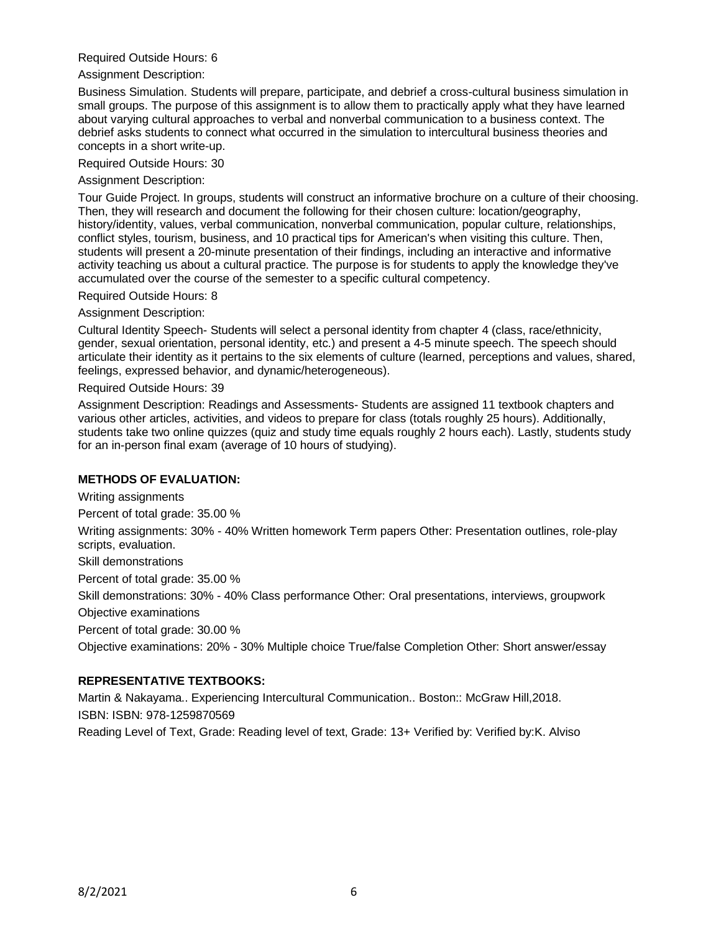## Required Outside Hours: 6

Assignment Description:

Business Simulation. Students will prepare, participate, and debrief a cross-cultural business simulation in small groups. The purpose of this assignment is to allow them to practically apply what they have learned about varying cultural approaches to verbal and nonverbal communication to a business context. The debrief asks students to connect what occurred in the simulation to intercultural business theories and concepts in a short write-up.

Required Outside Hours: 30

Assignment Description:

Tour Guide Project. In groups, students will construct an informative brochure on a culture of their choosing. Then, they will research and document the following for their chosen culture: location/geography, history/identity, values, verbal communication, nonverbal communication, popular culture, relationships, conflict styles, tourism, business, and 10 practical tips for American's when visiting this culture. Then, students will present a 20-minute presentation of their findings, including an interactive and informative activity teaching us about a cultural practice. The purpose is for students to apply the knowledge they've accumulated over the course of the semester to a specific cultural competency.

Required Outside Hours: 8

Assignment Description:

Cultural Identity Speech- Students will select a personal identity from chapter 4 (class, race/ethnicity, gender, sexual orientation, personal identity, etc.) and present a 4-5 minute speech. The speech should articulate their identity as it pertains to the six elements of culture (learned, perceptions and values, shared, feelings, expressed behavior, and dynamic/heterogeneous).

Required Outside Hours: 39

Assignment Description: Readings and Assessments- Students are assigned 11 textbook chapters and various other articles, activities, and videos to prepare for class (totals roughly 25 hours). Additionally, students take two online quizzes (quiz and study time equals roughly 2 hours each). Lastly, students study for an in-person final exam (average of 10 hours of studying).

# **METHODS OF EVALUATION:**

Writing assignments

Percent of total grade: 35.00 %

Writing assignments: 30% - 40% Written homework Term papers Other: Presentation outlines, role-play scripts, evaluation.

Skill demonstrations

Percent of total grade: 35.00 %

Skill demonstrations: 30% - 40% Class performance Other: Oral presentations, interviews, groupwork Objective examinations

Percent of total grade: 30.00 %

Objective examinations: 20% - 30% Multiple choice True/false Completion Other: Short answer/essay

## **REPRESENTATIVE TEXTBOOKS:**

Martin & Nakayama.. Experiencing Intercultural Communication.. Boston:: McGraw Hill,2018. ISBN: ISBN: 978-1259870569

Reading Level of Text, Grade: Reading level of text, Grade: 13+ Verified by: Verified by:K. Alviso